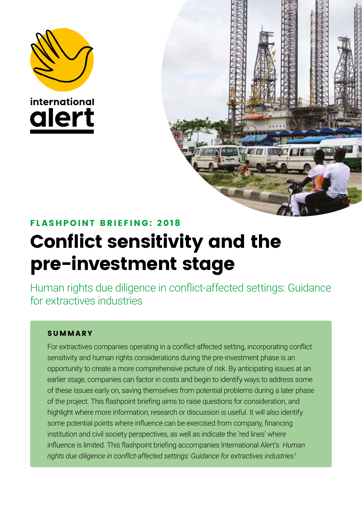





# FL ASHPOINT BRIEFING: 2 018 Conflict sensitivity and the pre-investment stage

Human rights due diligence in conflict-affected settings: Guidance for extractives industries

## SUMMARY

For extractives companies operating in a conflict-affected setting, incorporating conflict sensitivity and human rights considerations during the pre-investment phase is an opportunity to create a more comprehensive picture of risk. By anticipating issues at an earlier stage, companies can factor in costs and begin to identify ways to address some of these issues early on, saving themselves from potential problems during a later phase of the project. This flashpoint briefing aims to raise questions for consideration, and highlight where more information, research or discussion is useful. It will also identify some potential points where influence can be exercised from company, financing institution and civil society perspectives, as well as indicate the 'red lines' where influence is limited. This flashpoint briefing accompanies International Alert's *Human rights due diligence in conflict-affected settings: Guidance for extractives industries*. 1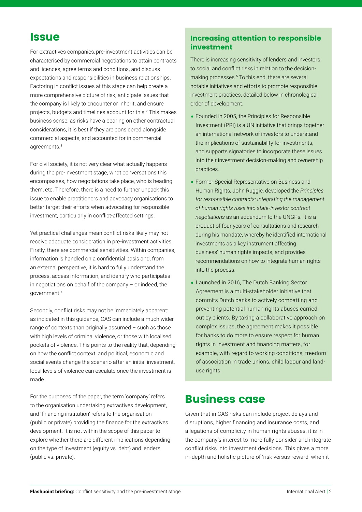# **Issue**

For extractives companies, pre-investment activities can be characterised by commercial negotiations to attain contracts and licences, agree terms and conditions, and discuss expectations and responsibilities in business relationships. Factoring in conflict issues at this stage can help create a more comprehensive picture of risk, anticipate issues that the company is likely to encounter or inherit, and ensure projects, budgets and timelines account for this.<sup>2</sup> This makes business sense: as risks have a bearing on other contractual considerations, it is best if they are considered alongside commercial aspects, and accounted for in commercial agreements.<sup>3</sup>

For civil society, it is not very clear what actually happens during the pre-investment stage, what conversations this encompasses, how negotiations take place, who is heading them, etc. Therefore, there is a need to further unpack this issue to enable practitioners and advocacy organisations to better target their efforts when advocating for responsible investment, particularly in conflict-affected settings.

Yet practical challenges mean conflict risks likely may not receive adequate consideration in pre-investment activities. Firstly, there are commercial sensitivities. Within companies, information is handled on a confidential basis and, from an external perspective, it is hard to fully understand the process, access information, and identify who participates in negotiations on behalf of the company – or indeed, the government.<sup>4</sup>

Secondly, conflict risks may not be immediately apparent: as indicated in this guidance, CAS can include a much wider range of contexts than originally assumed – such as those with high levels of criminal violence, or those with localised pockets of violence. This points to the reality that, depending on how the conflict context, and political, economic and social events change the scenario after an initial investment, local levels of violence can escalate once the investment is made.

For the purposes of the paper, the term 'company' refers to the organisation undertaking extractives development, and 'financing institution' refers to the organisation (public or private) providing the finance for the extractives development. It is not within the scope of this paper to explore whether there are different implications depending on the type of investment (equity vs. debt) and lenders (public vs. private).

### Increasing attention to responsible investment

There is increasing sensitivity of lenders and investors to social and conflict risks in relation to the decisionmaking processes.<sup>5</sup> To this end, there are several notable initiatives and efforts to promote responsible investment practices, detailed below in chronological order of development.

- Founded in 2005, the Principles for Responsible Investment (PRI) is a UN initiative that brings together an international network of investors to understand the implications of sustainability for investments, and supports signatories to incorporate these issues into their investment decision-making and ownership practices.
- Former Special Representative on Business and Human Rights, John Ruggie, developed the *Principles for responsible contracts: Integrating the management of human rights risks into state-investor contract negotiations* as an addendum to the UNGPs*.* It is a product of four years of consultations and research during his mandate, whereby he identified international investments as a key instrument affecting business' human rights impacts, and provides recommendations on how to integrate human rights into the process.
- Launched in 2016, The Dutch Banking Sector Agreement is a multi-stakeholder initiative that commits Dutch banks to actively combatting and preventing potential human rights abuses carried out by clients. By taking a collaborative approach on complex issues, the agreement makes it possible for banks to do more to ensure respect for human rights in investment and financing matters, for example, with regard to working conditions, freedom of association in trade unions, child labour and landuse rights.

# Business case

Given that in CAS risks can include project delays and disruptions, higher financing and insurance costs, and allegations of complicity in human rights abuses, it is in the company's interest to more fully consider and integrate conflict risks into investment decisions. This gives a more in-depth and holistic picture of 'risk versus reward' when it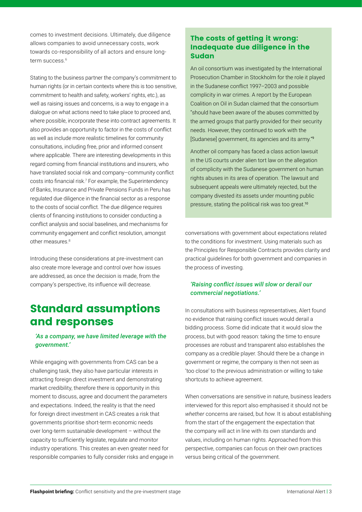comes to investment decisions. Ultimately, due diligence allows companies to avoid unnecessary costs, work towards co-responsibility of all actors and ensure longterm success.<sup>6</sup>

Stating to the business partner the company's commitment to human rights (or in certain contexts where this is too sensitive, commitment to health and safety, workers' rights, etc.), as well as raising issues and concerns, is a way to engage in a dialogue on what actions need to take place to proceed and, where possible, incorporate these into contract agreements. It also provides an opportunity to factor in the costs of conflict as well as include more realistic timelines for community consultations, including free, prior and informed consent where applicable. There are interesting developments in this regard coming from financial institutions and insurers, who have translated social risk and company–community conflict costs into financial risk.<sup>7</sup> For example, the Superintendency of Banks, Insurance and Private Pensions Funds in Peru has regulated due diligence in the financial sector as a response to the costs of social conflict. The due diligence requires clients of financing institutions to consider conducting a conflict analysis and social baselines, and mechanisms for community engagement and conflict resolution, amongst other measures.<sup>8</sup>

Introducing these considerations at pre-investment can also create more leverage and control over how issues are addressed, as once the decision is made, from the company's perspective, its influence will decrease.

# Standard assumptions and responses

#### *'As a company, we have limited leverage with the government.'*

While engaging with governments from CAS can be a challenging task, they also have particular interests in attracting foreign direct investment and demonstrating market credibility, therefore there is opportunity in this moment to discuss, agree and document the parameters and expectations. Indeed, the reality is that the need for foreign direct investment in CAS creates a risk that governments prioritise short-term economic needs over long-term sustainable development – without the capacity to sufficiently legislate, regulate and monitor industry operations. This creates an even greater need for responsible companies to fully consider risks and engage in

### The costs of getting it wrong: Inadequate due diligence in the Sudan

An oil consortium was investigated by the International Prosecution Chamber in Stockholm for the role it played in the Sudanese conflict 1997–2003 and possible complicity in war crimes. A report by the European Coalition on Oil in Sudan claimed that the consortium "should have been aware of the abuses committed by the armed groups that partly provided for their security needs. However, they continued to work with the [Sudanese] government, its agencies and its army."<sup>9</sup>

Another oil company has faced a class action lawsuit in the US courts under alien tort law on the allegation of complicity with the Sudanese government on human rights abuses in its area of operation. The lawsuit and subsequent appeals were ultimately rejected, but the company divested its assets under mounting public pressure, stating the political risk was too great.<sup>10</sup>

conversations with government about expectations related to the conditions for investment. Using materials such as the Principles for Responsible Contracts provides clarity and practical guidelines for both government and companies in the process of investing.

#### *'Raising conflict issues will slow or derail our commercial negotiations.'*

In consultations with business representatives, Alert found no evidence that raising conflict issues would derail a bidding process. Some did indicate that it would slow the process, but with good reason: taking the time to ensure processes are robust and transparent also establishes the company as a credible player. Should there be a change in government or regime, the company is then not seen as 'too close' to the previous administration or willing to take shortcuts to achieve agreement.

When conversations are sensitive in nature, business leaders interviewed for this report also emphasised it should not be *whether* concerns are raised, but *how*. It is about establishing from the start of the engagement the expectation that the company will act in line with its own standards and values, including on human rights. Approached from this perspective, companies can focus on their own practices versus being critical of the government.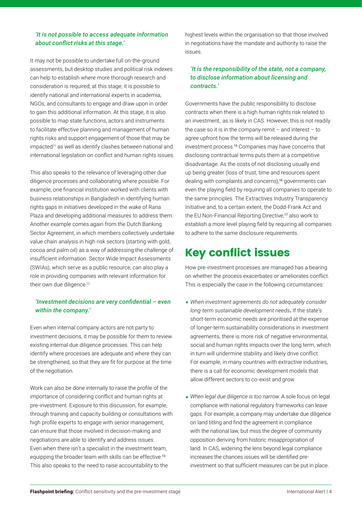#### *'It is not possible to access adequate information about conflict risks at this stage.'*

It may not be possible to undertake full on-the-ground assessments, but desktop studies and political risk indexes can help to establish where more thorough research and consideration is required; at this stage, it is possible to identify national and international experts in academia, NGOs, and consultants to engage and draw upon in order to gain this additional information. At this stage, it is also possible to map state functions, actors and instruments to facilitate effective planning and management of human rights risks and support engagement of those that may be impacted<sup>11</sup> as well as identify clashes between national and international legislation on conflict and human rights issues.

This also speaks to the relevance of leveraging other due diligence processes and collaborating where possible. For example, one financial institution worked with clients with business relationships in Bangladesh in identifying human rights gaps in initiatives developed in the wake of Rana Plaza and developing additional measures to address them. Another example comes again from the Dutch Banking Sector Agreement, in which members collectively undertake value chain analysis in high risk sectors (starting with gold, cocoa and palm oil) as a way of addressing the challenge of insufficient information. Sector Wide Impact Assessments (SWIAs), which serve as a public resource, can also play a role in providing companies with relevant information for their own due diligence.<sup>12</sup>

#### *'Investment decisions are very confidential – even within the company.'*

Even when internal company actors are not party to investment decisions, it may be possible for them to review existing internal due diligence processes. This can help identify where processes are adequate and where they can be strengthened, so that they are fit for purpose at the time of the negotiation.

Work can also be done internally to raise the profile of the importance of considering conflict and human rights at pre-investment. Exposure to this discussion, for example, through training and capacity building or consultations with high profile experts to engage with senior management, can ensure that those involved in decision-making and negotiations are able to identify and address issues. Even when there isn't a specialist in the investment team, equipping the broader team with skills can be effective.<sup>13</sup> This also speaks to the need to raise accountability to the

highest levels within the organisation so that those involved in negotiations have the mandate and authority to raise the issues.

#### *'It is the responsibility of the state, not a company, to disclose information about licensing and contracts.'*

Governments have the public responsibility to disclose contracts when there is a high human rights risk related to an investment, as is likely in CAS. However, this is not readily the case so it is in the company remit  $-$  and interest  $-$  to agree upfront how the terms will be released during the investment process.<sup>15</sup> Companies may have concerns that disclosing contractual terms puts them at a competitive disadvantage. As the costs of not disclosing usually end up being greater (loss of trust, time and resources spent dealing with complaints and concerns),<sup>16</sup> governments can even the playing field by requiring all companies to operate to the same principles. The Extractives Industry Transparency Initiative and, to a certain extent, the Dodd-Frank Act and the EU Non-Financial Reporting Directive,<sup>17</sup> also work to establish a more level playing field by requiring all companies to adhere to the same disclosure requirements.

# Key conflict issues

How pre-investment processes are managed has a bearing on whether the process exacerbates or ameliorates conflict. This is especially the case in the following circumstances:

- *When investment agreements do not adequately consider long-term sustainable development needs***.** If the state's short-term economic needs are prioritised at the expense of longer-term sustainability considerations in investment agreements, there is more risk of negative environmental, social and human rights impacts over the long term, which in turn will undermine stability and likely drive conflict. For example, in many countries with extractive industries, there is a call for economic development models that allow different sectors to co-exist and grow.
- *When legal due diligence is too narrow*. A sole focus on legal compliance with national regulatory frameworks can leave gaps. For example, a company may undertake due diligence on land titling and find the agreement in compliance with the national law, but miss the degree of community opposition deriving from historic misappropriation of land. In CAS, widening the lens beyond legal compliance increases the chances issues will be identified preinvestment so that sufficient measures can be put in place.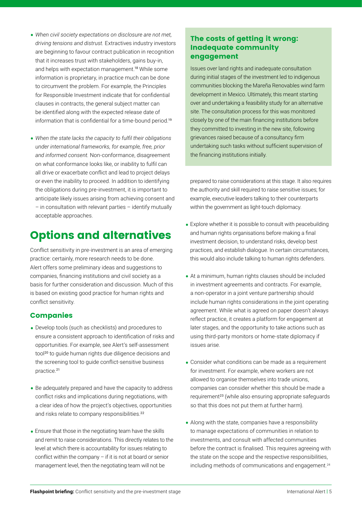- *When civil society expectations on disclosure are not met, driving tensions and distrust.* Extractives industry investors are beginning to favour contract publication in recognition that it increases trust with stakeholders, gains buy-in, and helps with expectation management.<sup>18</sup> While some information is proprietary, in practice much can be done to circumvent the problem. For example, the Principles for Responsible Investment indicate that for confidential clauses in contracts, the general subject matter can be identified along with the expected release date of information that is confidential for a time-bound period.<sup>19</sup>
- *When the state lacks the capacity to fulfil their obligations under international frameworks, for example, free, prior and informed consent.* Non-conformance, disagreement on what conformance looks like, or inability to fulfil can all drive or exacerbate conflict and lead to project delays or even the inability to proceed. In addition to identifying the obligations during pre-investment, it is important to anticipate likely issues arising from achieving consent and – in consultation with relevant parties – identify mutually acceptable approaches.

# Options and alternatives

Conflict sensitivity in pre-investment is an area of emerging practice: certainly, more research needs to be done. Alert offers some preliminary ideas and suggestions to companies, financing institutions and civil society as a basis for further consideration and discussion. Much of this is based on existing good practice for human rights and conflict sensitivity.

### Companies

- Develop tools (such as checklists) and procedures to ensure a consistent approach to identification of risks and opportunities. For example, see Alert's self-assessment tool<sup>20</sup> to quide human rights due diligence decisions and the screening tool to guide conflict-sensitive business practice.<sup>21</sup>
- Be adequately prepared and have the capacity to address conflict risks and implications during negotiations, with a clear idea of how the project's objectives, opportunities and risks relate to company responsibilities.<sup>22</sup>
- Ensure that those in the negotiating team have the skills and remit to raise considerations. This directly relates to the level at which there is accountability for issues relating to conflict within the company – if it is not at board or senior management level, then the negotiating team will not be

### The costs of getting it wrong: Inadequate community engagement

Issues over land rights and inadequate consultation during initial stages of the investment led to indigenous communities blocking the Mareña Renovables wind farm development in Mexico. Ultimately, this meant starting over and undertaking a feasibility study for an alternative site. The consultation process for this was monitored closely by one of the main financing institutions before they committed to investing in the new site, following grievances raised because of a consultancy firm undertaking such tasks without sufficient supervision of the financing institutions initially.

prepared to raise considerations at this stage. It also requires the authority and skill required to raise sensitive issues; for example, executive leaders talking to their counterparts within the government as light-touch diplomacy.

- Explore whether it is possible to consult with peacebuilding and human rights organisations before making a final investment decision, to understand risks, develop best practices, and establish dialogue. In certain circumstances, this would also include talking to human rights defenders.
- At a minimum, human rights clauses should be included in investment agreements and contracts. For example, a non-operator in a joint venture partnership should include human rights considerations in the joint operating agreement. While what is agreed on paper doesn't always reflect practice, it creates a platform for engagement at later stages, and the opportunity to take actions such as using third-party monitors or home-state diplomacy if issues arise.
- Consider what conditions can be made as a requirement for investment. For example, where workers are not allowed to organise themselves into trade unions, companies can consider whether this should be made a requirement<sup>23</sup> (while also ensuring appropriate safeguards so that this does not put them at further harm).
- Along with the state, companies have a responsibility to manage expectations of communities in relation to investments, and consult with affected communities before the contract is finalised. This requires agreeing with the state on the scope and the respective responsibilities, including methods of communications and engagement.<sup>24</sup>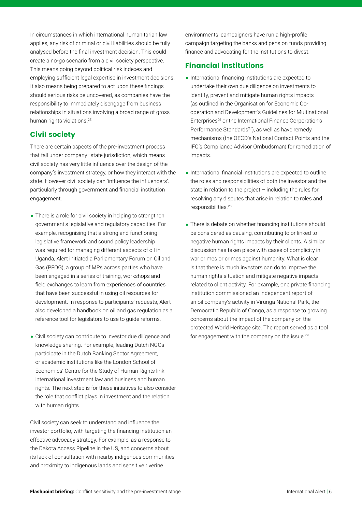In circumstances in which international humanitarian law applies, any risk of criminal or civil liabilities should be fully analysed before the final investment decision. This could create a no-go scenario from a civil society perspective. This means going beyond political risk indexes and employing sufficient legal expertise in investment decisions. It also means being prepared to act upon these findings should serious risks be uncovered, as companies have the responsibility to immediately disengage from business relationships in situations involving a broad range of gross human rights violations.<sup>25</sup>

### Civil society

There are certain aspects of the pre-investment process that fall under company–state jurisdiction, which means civil society has very little influence over the design of the company's investment strategy, or how they interact with the state. However civil society can 'influence the influencers', particularly through government and financial institution engagement.

- There is a role for civil society in helping to strengthen government's legislative and regulatory capacities. For example, recognising that a strong and functioning legislative framework and sound policy leadership was required for managing different aspects of oil in Uganda, Alert initiated a Parliamentary Forum on Oil and Gas (PFOG), a group of MPs across parties who have been engaged in a series of training, workshops and field exchanges to learn from experiences of countries that have been successful in using oil resources for development. In response to participants' requests, Alert also developed a handbook on oil and gas regulation as a reference tool for legislators to use to guide reforms.
- Civil society can contribute to investor due diligence and knowledge sharing. For example, leading Dutch NGOs participate in the Dutch Banking Sector Agreement, or academic institutions like the London School of Economics' Centre for the Study of Human Rights link international investment law and business and human rights. The next step is for these initiatives to also consider the role that conflict plays in investment and the relation with human rights.

Civil society can seek to understand and influence the investor portfolio, with targeting the financing institution an effective advocacy strategy. For example, as a response to the Dakota Access Pipeline in the US, and concerns about its lack of consultation with nearby indigenous communities and proximity to indigenous lands and sensitive riverine

environments, campaigners have run a high-profile campaign targeting the banks and pension funds providing finance and advocating for the institutions to divest.

### Financial institutions

- •International financing institutions are expected to undertake their own due diligence on investments to identify, prevent and mitigate human rights impacts (as outlined in the Organisation for Economic Cooperation and Development's Guidelines for Multinational Enterprises26 or the International Finance Corporation's Performance Standards<sup>27</sup>), as well as have remedy mechanisms (the OECD's National Contact Points and the IFC's Compliance Advisor Ombudsman) for remediation of impacts.
- International financial institutions are expected to outline the roles and responsibilities of both the investor and the state in relation to the project – including the rules for resolving any disputes that arise in relation to roles and responsibilities.<sup>28</sup>
- There is debate on whether financing institutions should be considered as causing, contributing to or linked to negative human rights impacts by their clients. A similar discussion has taken place with cases of complicity in war crimes or crimes against humanity. What is clear is that there is much investors can do to improve the human rights situation and mitigate negative impacts related to client activity. For example, one private financing institution commissioned an independent report of an oil company's activity in Virunga National Park, the Democratic Republic of Congo, as a response to growing concerns about the impact of the company on the protected World Heritage site. The report served as a tool for engagement with the company on the issue.<sup>29</sup>